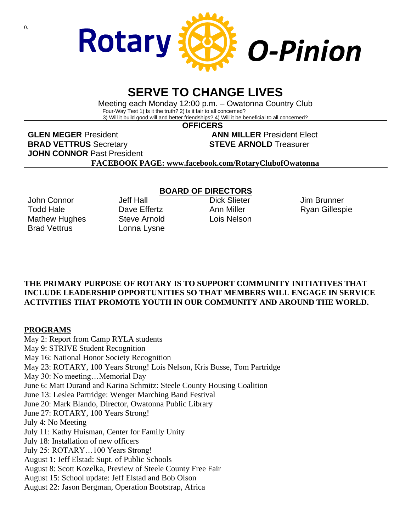

# **SERVE TO CHANGE LIVES**

Meeting each Monday 12:00 p.m. – Owatonna Country Club Four-Way Test 1) Is it the truth? 2) Is it fair to all concerned? 3) Will it build good will and better friendships? 4) Will it be beneficial to all concerned?

 **OFFICERS**

**GLEN MEGER** President **ANN MILLER** President Elect **BRAD VETTRUS** Secretary **STEVE ARNOLD** Treasurer **JOHN CONNOR** Past President

**FACEBOOK PAGE: www.facebook.com/RotaryClubofOwatonna**

John Connor Todd Hale Mathew Hughes Brad Vettrus

Jeff Hall Dave Fffertz Steve Arnold Lonna Lysne

#### **BOARD OF DIRECTORS**

Dick Slieter Ann Miller Lois Nelson

Jim Brunner Ryan Gillespie

### **THE PRIMARY PURPOSE OF ROTARY IS TO SUPPORT COMMUNITY INITIATIVES THAT INCLUDE LEADERSHIP OPPORTUNITIES SO THAT MEMBERS WILL ENGAGE IN SERVICE ACTIVITIES THAT PROMOTE YOUTH IN OUR COMMUNITY AND AROUND THE WORLD.**

#### **PROGRAMS**

May 2: Report from Camp RYLA students May 9: STRIVE Student Recognition May 16: National Honor Society Recognition May 23: ROTARY, 100 Years Strong! Lois Nelson, Kris Busse, Tom Partridge May 30: No meeting…Memorial Day June 6: Matt Durand and Karina Schmitz: Steele County Housing Coalition June 13: Leslea Partridge: Wenger Marching Band Festival June 20: Mark Blando, Director, Owatonna Public Library June 27: ROTARY, 100 Years Strong! July 4: No Meeting July 11: Kathy Huisman, Center for Family Unity July 18: Installation of new officers July 25: ROTARY…100 Years Strong! August 1: Jeff Elstad: Supt. of Public Schools August 8: Scott Kozelka, Preview of Steele County Free Fair August 15: School update: Jeff Elstad and Bob Olson August 22: Jason Bergman, Operation Bootstrap, Africa